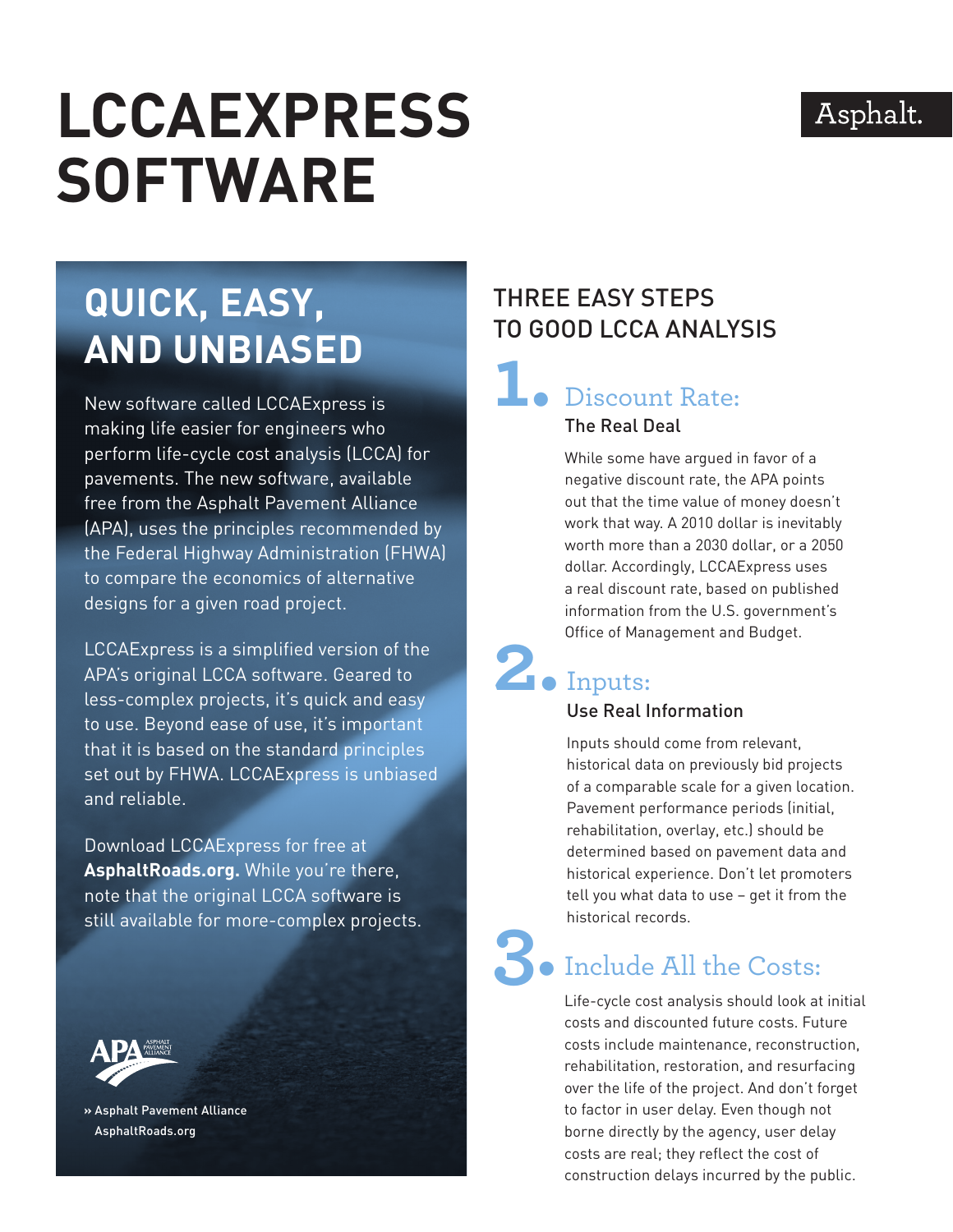#### Asphalt.

# **LCCAExpress Software**

# **Quick, Easy, and Unbiased**

New software called LCCAExpress is making life easier for engineers who perform life-cycle cost analysis (LCCA) for pavements. The new software, available free from the Asphalt Pavement Alliance (APA), uses the principles recommended by the Federal Highway Administration (FHWA) to compare the economics of alternative designs for a given road project.

LCCAExpress is a simplified version of the APA's original LCCA software. Geared to less-complex projects, it's quick and easy to use. Beyond ease of use, it's important that it is based on the standard principles set out by FHWA. LCCAExpress is unbiased and reliable.

Download LCCAExpress for free at **AsphaltRoads.org.** While you're there, note that the original LCCA software is still available for more-complex projects.



**»** Asphalt Pavement Alliance AsphaltRoads.org

#### Three Easy Steps to Good LCCA Analysis

## **1.** Discount Rate: The Real Deal

While some have argued in favor of a negative discount rate, the APA points out that the time value of money doesn't work that way. A 2010 dollar is inevitably worth more than a 2030 dollar, or a 2050 dollar. Accordingly, LCCAExpress uses a real discount rate, based on published information from the U.S. government's Office of Management and Budget.

### **2.** Inputs: Use Real Information

Inputs should come from relevant, historical data on previously bid projects of a comparable scale for a given location. Pavement performance periods (initial, rehabilitation, overlay, etc.) should be determined based on pavement data and historical experience. Don't let promoters tell you what data to use – get it from the historical records.

# **3.** Include All the Costs:

Life-cycle cost analysis should look at initial costs and discounted future costs. Future costs include maintenance, reconstruction, rehabilitation, restoration, and resurfacing over the life of the project. And don't forget to factor in user delay. Even though not borne directly by the agency, user delay costs are real; they reflect the cost of construction delays incurred by the public.